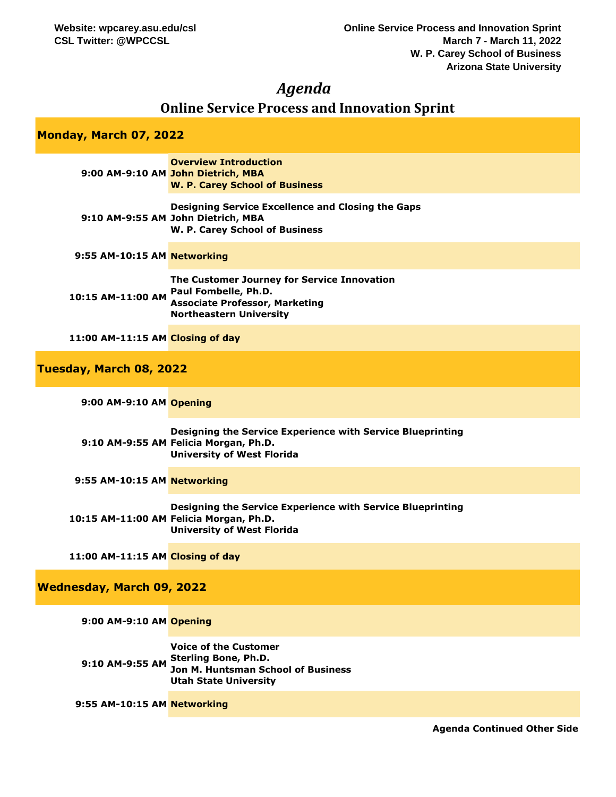## *Agenda*

# **Online Service Process and Innovation Sprint**

## **Monday, March 07, 2022**

**Tuesd** 

|                                  | <b>Overview Introduction</b><br>9:00 AM-9:10 AM John Dietrich, MBA<br><b>W. P. Carey School of Business</b>                                    |
|----------------------------------|------------------------------------------------------------------------------------------------------------------------------------------------|
|                                  | Designing Service Excellence and Closing the Gaps<br>9:10 AM-9:55 AM John Dietrich, MBA<br>W. P. Carey School of Business                      |
| 9:55 AM-10:15 AM Networking      |                                                                                                                                                |
| 10:15 AM-11:00 AM                | The Customer Journey for Service Innovation<br>Paul Fombelle, Ph.D.<br><b>Associate Professor, Marketing</b><br><b>Northeastern University</b> |
| 11:00 AM-11:15 AM Closing of day |                                                                                                                                                |
| lay, March 08, 2022              |                                                                                                                                                |

| 9:00 AM-9:10 AM Opening          |                                                                                                                                            |
|----------------------------------|--------------------------------------------------------------------------------------------------------------------------------------------|
|                                  | Designing the Service Experience with Service Blueprinting<br>9:10 AM-9:55 AM Felicia Morgan, Ph.D.<br><b>University of West Florida</b>   |
| 9:55 AM-10:15 AM Networking      |                                                                                                                                            |
|                                  | Designing the Service Experience with Service Blueprinting<br>10:15 AM-11:00 AM Felicia Morgan, Ph.D.<br><b>University of West Florida</b> |
| 11:00 AM-11:15 AM Closing of day |                                                                                                                                            |
| Wednesday, March 09, 2022        |                                                                                                                                            |
| 9:00 AM-9:10 AM Opening          |                                                                                                                                            |
| 9:10 AM-9:55 AM                  | <b>Voice of the Customer</b><br><b>Sterling Bone, Ph.D.</b><br><b>Jon M. Huntsman School of Business</b>                                   |

**Utah State University**

**9:55 AM-10:15 AM Networking**

**Agenda Continued Other Side**